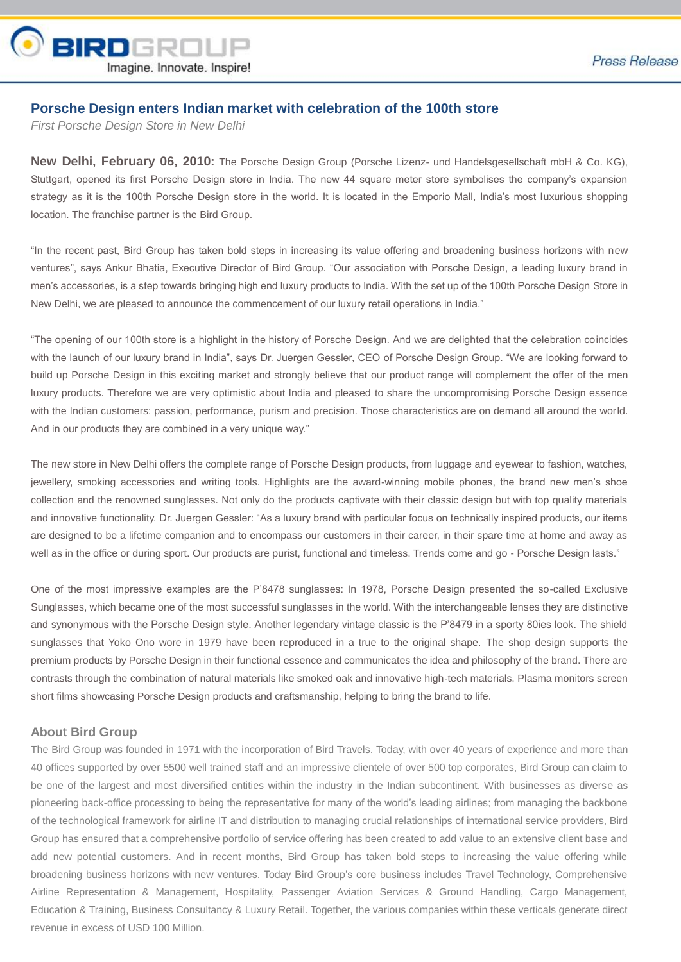

## **Porsche Design enters Indian market with celebration of the 100th store**

*First Porsche Design Store in New Delhi*

**New Delhi, February 06, 2010:** The Porsche Design Group (Porsche Lizenz- und Handelsgesellschaft mbH & Co. KG), Stuttgart, opened its first Porsche Design store in India. The new 44 square meter store symbolises the company's expansion strategy as it is the 100th Porsche Design store in the world. It is located in the Emporio Mall, India's most luxurious shopping location. The franchise partner is the Bird Group.

"In the recent past, Bird Group has taken bold steps in increasing its value offering and broadening business horizons with new ventures", says Ankur Bhatia, Executive Director of Bird Group. "Our association with Porsche Design, a leading luxury brand in men's accessories, is a step towards bringing high end luxury products to India. With the set up of the 100th Porsche Design Store in New Delhi, we are pleased to announce the commencement of our luxury retail operations in India."

"The opening of our 100th store is a highlight in the history of Porsche Design. And we are delighted that the celebration coincides with the launch of our luxury brand in India", says Dr. Juergen Gessler, CEO of Porsche Design Group. "We are looking forward to build up Porsche Design in this exciting market and strongly believe that our product range will complement the offer of the men luxury products. Therefore we are very optimistic about India and pleased to share the uncompromising Porsche Design essence with the Indian customers: passion, performance, purism and precision. Those characteristics are on demand all around the world. And in our products they are combined in a very unique way."

The new store in New Delhi offers the complete range of Porsche Design products, from luggage and eyewear to fashion, watches, jewellery, smoking accessories and writing tools. Highlights are the award-winning mobile phones, the brand new men's shoe collection and the renowned sunglasses. Not only do the products captivate with their classic design but with top quality materials and innovative functionality. Dr. Juergen Gessler: "As a luxury brand with particular focus on technically inspired products, our items are designed to be a lifetime companion and to encompass our customers in their career, in their spare time at home and away as well as in the office or during sport. Our products are purist, functional and timeless. Trends come and go - Porsche Design lasts."

One of the most impressive examples are the P'8478 sunglasses: In 1978, Porsche Design presented the so-called Exclusive Sunglasses, which became one of the most successful sunglasses in the world. With the interchangeable lenses they are distinctive and synonymous with the Porsche Design style. Another legendary vintage classic is the P'8479 in a sporty 80ies look. The shield sunglasses that Yoko Ono wore in 1979 have been reproduced in a true to the original shape. The shop design supports the premium products by Porsche Design in their functional essence and communicates the idea and philosophy of the brand. There are contrasts through the combination of natural materials like smoked oak and innovative high-tech materials. Plasma monitors screen short films showcasing Porsche Design products and craftsmanship, helping to bring the brand to life.

## **About Bird Group**

The Bird Group was founded in 1971 with the incorporation of Bird Travels. Today, with over 40 years of experience and more than 40 offices supported by over 5500 well trained staff and an impressive clientele of over 500 top corporates, Bird Group can claim to be one of the largest and most diversified entities within the industry in the Indian subcontinent. With businesses as diverse as pioneering back-office processing to being the representative for many of the world's leading airlines; from managing the backbone of the technological framework for airline IT and distribution to managing crucial relationships of international service providers, Bird Group has ensured that a comprehensive portfolio of service offering has been created to add value to an extensive client base and add new potential customers. And in recent months, Bird Group has taken bold steps to increasing the value offering while broadening business horizons with new ventures. Today Bird Group's core business includes Travel Technology, Comprehensive Airline Representation & Management, Hospitality, Passenger Aviation Services & Ground Handling, Cargo Management, Education & Training, Business Consultancy & Luxury Retail. Together, the various companies within these verticals generate direct revenue in excess of USD 100 Million.